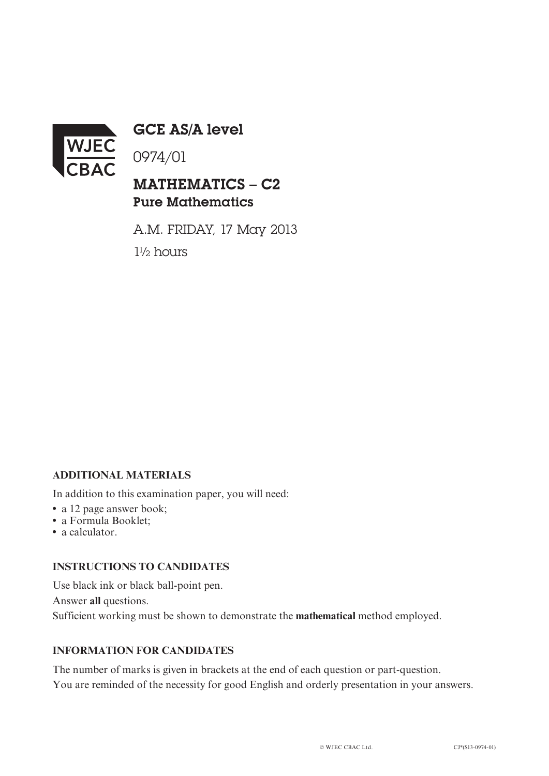

GCE AS/A level

0974/01

# MATHEMATICS – C2 Pure Mathematics

A.M. FRIDAY, 17 May 2013 1½ hours

## **ADDITIONAL MATERIALS**

In addition to this examination paper, you will need:

- a 12 page answer book;
- **•** a Formula Booklet;
- **•** a calculator.

#### **INSTRUCTIONS TO CANDIDATES**

Use black ink or black ball-point pen. Answer **all** questions. Sufficient working must be shown to demonstrate the **mathematical** method employed.

### **INFORMATION FOR CANDIDATES**

The number of marks is given in brackets at the end of each question or part-question. You are reminded of the necessity for good English and orderly presentation in your answers.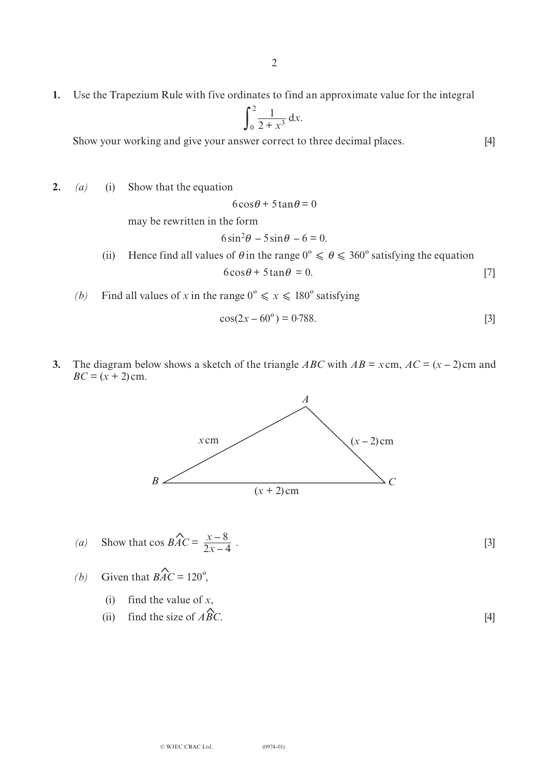**1.** Use the Trapezium Rule with five ordinates to find an approximate value for the integral

$$
\int_0^2 \frac{1}{2+x^3} \, \mathrm{d}x.
$$

Show your working and give your answer correct to three decimal places. [4]

**2.** *(a)* (i) Show that the equation

$$
6\cos\theta + 5\tan\theta = 0
$$

may be rewritten in the form

$$
6\sin^2\theta - 5\sin\theta - 6 = 0.
$$

(ii) Hence find all values of  $\theta$  in the range  $0^{\circ} \le \theta \le 360^{\circ}$  satisfying the equation  $6\cos\theta + 5\tan\theta = 0.$  [7]

*(b)* Find all values of *x* in the range  $0^{\circ} \le x \le 180^{\circ}$  satisfying

$$
\cos(2x - 60^{\circ}) = 0.788. \tag{3}
$$

**3.** The diagram below shows a sketch of the triangle *ABC* with  $AB = x$ cm,  $AC = (x - 2)$ cm and  $BC = (x + 2)$  cm.



- (a) Show that  $\cos BAC = \frac{x-8}{2x-4}$ . [3]  $2x - 4$  $\hat{\mathbf{r}}$
- *(b)* Given that  $\angle BAC = 120^\circ$ ,  $\hat{\mathbf{r}}$ 
	- (i) find the value of *x*, ^,<br>'
	- (ii) find the size of *ABC*. [4]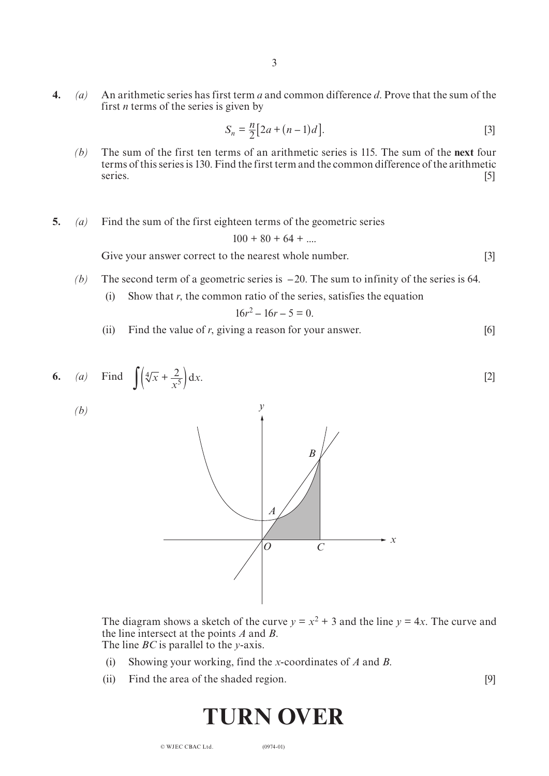**4.** *(a)* An arithmetic series has first term *a* and common difference *d*. Prove that the sum of the first *n* terms of the series is given by

3

$$
S_n = \frac{n}{2} [2a + (n-1)d].
$$
 [3]

- *(b)* The sum of the first ten terms of an arithmetic series is 115. The sum of the **next** four terms of this series is 130. Find the first term and the common difference of the arithmetic series. [5]
- **5.** *(a)* Find the sum of the first eighteen terms of the geometric series

$$
100 + 80 + 64 + \dots
$$

Give your answer correct to the nearest whole number. [3]

- *(b)* The second term of a geometric series is **–** 20. The sum to infinity of the series is 64.
	- (i) Show that  $r$ , the common ratio of the series, satisfies the equation

$$
16r^2 - 16r - 5 = 0.
$$

(ii) Find the value of *r*, giving a reason for your answer. [6]



*A*

The diagram shows a sketch of the curve  $y = x^2 + 3$  and the line  $y = 4x$ . The curve and the line intersect at the points *A* and *B*. The line *BC* is parallel to the *y*-axis.

*O C*

*x*

- (i) Showing your working, find the *x*-coordinates of *A* and *B*.
- (ii) Find the area of the shaded region. [9]

# **TURN OVER**